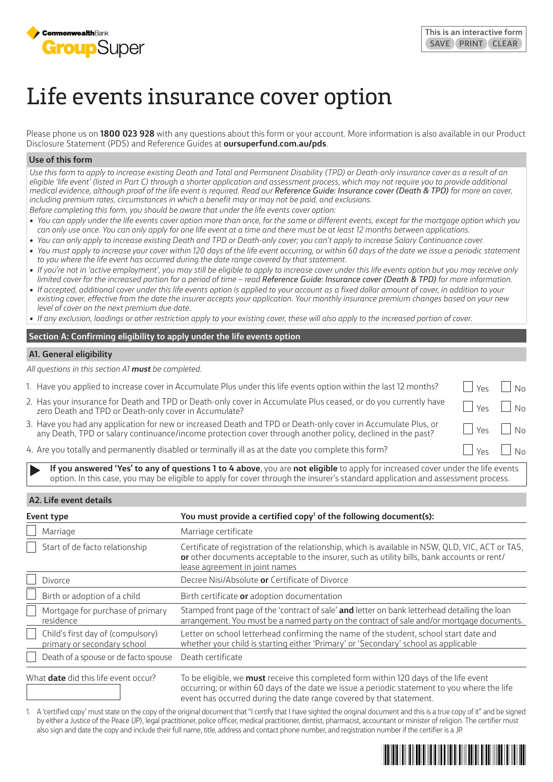

# Life events insurance cover option

Please phone us on **1800 023 928** with any questions about this form or your account. More information is also available in our Product Disclosure Statement (PDS) and Reference Guides at **oursuperfund.com.au/pds**.

## **Use of this form**

*Use this form to apply to increase existing Death and Total and Permanent Disability (TPD) or Death-only insurance cover as a result of an eligible 'life event' (listed in Part C) through a shorter application and assessment process, which may not require you to provide additional medical evidence, although proof of the life event is required. Read our Reference Guide: Insurance cover (Death & TPD) for more on cover, including premium rates, circumstances in which a benefit may or may not be paid, and exclusions.*

*Before completing this form, you should be aware that under the life events cover option:*

- *• You can apply under the life events cover option more than once, for the same or different events, except for the mortgage option which you can only use once. You can only apply for one life event at a time and there must be at least 12 months between applications.*
- *• You can only apply to increase existing Death and TPD or Death-only cover; you can't apply to increase Salary Continuance cover.*
- You must apply to increase your cover within 120 days of the life event occurring, or within 60 days of the date we issue a periodic statement *to you where the life event has occurred during the date range covered by that statement.*
- *• If you're not in 'active employment', you may still be eligible to apply to increase cover under this life events option but you may receive only limited cover for the increased portion for a period of time – read Reference Guide: Insurance cover (Death & TPD) for more information.*
- If accepted, additional cover under this life events option is applied to your account as a fixed dollar amount of cover, in addition to your *existing cover, effective from the date the insurer accepts your application. Your monthly insurance premium changes based on your new level of cover on the next premium due date.*
- *• If any exclusion, loadings or other restriction apply to your existing cover, these will also apply to the increased portion of cover.*

# **Section A: Confirming eligibility to apply under the life events option**

# **A1. General eligibility**

*All questions in this section A1 must be completed.*

- 1. Have you applied to increase cover in Accumulate Plus under this life events option within the last 12 months?
- 2. Has your insurance for Death and TPD or Death-only cover in Accumulate Plus ceased, or do you currently have Has your insurance for Death and TPD or Death-only cover in Accumulate Plus ceased, or do you currently have Go<br>Zero Death and TPD or Death-only cover in Accumulate?
- 3. Have you had any application for new or increased Death and TPD or Death-only cover in Accumulate Plus, or Have you had any application for new or increased Deatn and TPD or Deatn-only cover in Accumulate Plus, or Gament Mes  $\Box$  No<br>any Death, TPD or salary continuance/income protection cover through another policy, declined in
- 4. Are you totally and permanently disabled or terminally ill as at the date you complete this form?
	- **If you answered 'Yes' to any of questions 1 to 4 above**, you are **not eligible** to apply for increased cover under the life events option. In this case, you may be eligible to apply for cover through the insurer's standard application and assessment process.

# **A2. Life event details**

| Event type |                                                                  | You must provide a certified copy <sup>1</sup> of the following document(s):                                                                                                                                                       |  |  |
|------------|------------------------------------------------------------------|------------------------------------------------------------------------------------------------------------------------------------------------------------------------------------------------------------------------------------|--|--|
|            | Marriage                                                         | Marriage certificate                                                                                                                                                                                                               |  |  |
|            | Start of de facto relationship                                   | Certificate of registration of the relationship, which is available in NSW, QLD, VIC, ACT or TAS,<br>or other documents acceptable to the insurer, such as utility bills, bank accounts or rent/<br>lease agreement in joint names |  |  |
|            | Divorce                                                          | Decree Nisi/Absolute or Certificate of Divorce                                                                                                                                                                                     |  |  |
|            | Birth or adoption of a child                                     | Birth certificate or adoption documentation                                                                                                                                                                                        |  |  |
|            | Mortgage for purchase of primary<br>residence                    | Stamped front page of the 'contract of sale' and letter on bank letterhead detailing the loan<br>arrangement. You must be a named party on the contract of sale and/or mortgage documents.                                         |  |  |
|            | Child's first day of (compulsory)<br>primary or secondary school | Letter on school letterhead confirming the name of the student, school start date and<br>whether your child is starting either 'Primary' or 'Secondary' school as applicable                                                       |  |  |
|            | Death of a spouse or de facto spouse                             | Death certificate                                                                                                                                                                                                                  |  |  |

What **date** did this life event occur? To be eligible, we **must** receive this completed form within 120 days of the life event occurring; or within 60 days of the date we issue a periodic statement to you where the life event has occurred during the date range covered by that statement.

1. A 'certified copy' must state on the copy of the original document that "I certify that I have sighted the original document and this is a true copy of it" and be signed by either a Justice of the Peace (JP), legal practitioner, police officer, medical practitioner, dentist, pharmacist, accountant or minister of religion. The certifier must also sign and date the copy and include their full name, title, address and contact phone number, and registration number if the certifier is a JP.

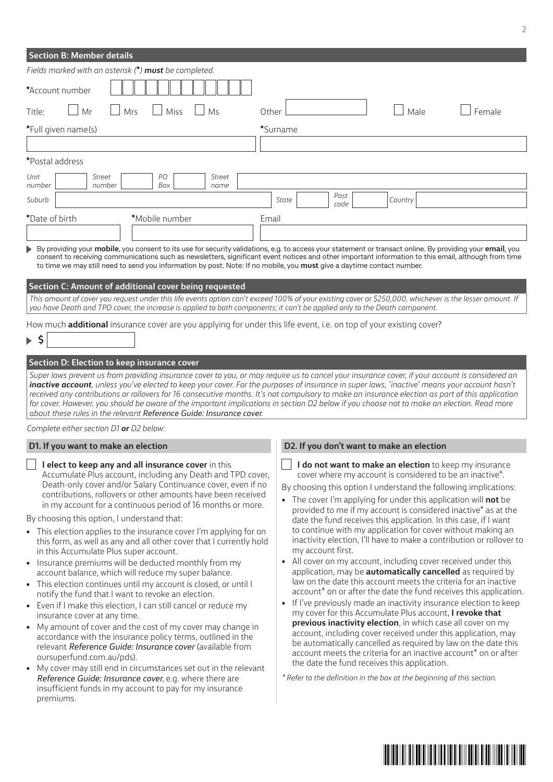| <b>Section B: Member details</b>                                                                                                                                                                                                                                                                                                                                                                                                                                                                                                                                                                                                                                                                                                                                                                                                                                                                                                                                                                               |                                                                                                                                                                                                                                                                                                                                                                                                                                                                                                                                                                                                                                                                                                                                                                                                                                                                                                                                                                                                                                              |  |  |  |  |  |
|----------------------------------------------------------------------------------------------------------------------------------------------------------------------------------------------------------------------------------------------------------------------------------------------------------------------------------------------------------------------------------------------------------------------------------------------------------------------------------------------------------------------------------------------------------------------------------------------------------------------------------------------------------------------------------------------------------------------------------------------------------------------------------------------------------------------------------------------------------------------------------------------------------------------------------------------------------------------------------------------------------------|----------------------------------------------------------------------------------------------------------------------------------------------------------------------------------------------------------------------------------------------------------------------------------------------------------------------------------------------------------------------------------------------------------------------------------------------------------------------------------------------------------------------------------------------------------------------------------------------------------------------------------------------------------------------------------------------------------------------------------------------------------------------------------------------------------------------------------------------------------------------------------------------------------------------------------------------------------------------------------------------------------------------------------------------|--|--|--|--|--|
| Fields marked with an asterisk (*) must be completed.                                                                                                                                                                                                                                                                                                                                                                                                                                                                                                                                                                                                                                                                                                                                                                                                                                                                                                                                                          |                                                                                                                                                                                                                                                                                                                                                                                                                                                                                                                                                                                                                                                                                                                                                                                                                                                                                                                                                                                                                                              |  |  |  |  |  |
| *Account number                                                                                                                                                                                                                                                                                                                                                                                                                                                                                                                                                                                                                                                                                                                                                                                                                                                                                                                                                                                                |                                                                                                                                                                                                                                                                                                                                                                                                                                                                                                                                                                                                                                                                                                                                                                                                                                                                                                                                                                                                                                              |  |  |  |  |  |
| Miss<br>Mr<br>Mrs<br>Ms<br>Other<br>Title:                                                                                                                                                                                                                                                                                                                                                                                                                                                                                                                                                                                                                                                                                                                                                                                                                                                                                                                                                                     | Male<br>Female                                                                                                                                                                                                                                                                                                                                                                                                                                                                                                                                                                                                                                                                                                                                                                                                                                                                                                                                                                                                                               |  |  |  |  |  |
| *Full given name(s)                                                                                                                                                                                                                                                                                                                                                                                                                                                                                                                                                                                                                                                                                                                                                                                                                                                                                                                                                                                            | *Surname                                                                                                                                                                                                                                                                                                                                                                                                                                                                                                                                                                                                                                                                                                                                                                                                                                                                                                                                                                                                                                     |  |  |  |  |  |
|                                                                                                                                                                                                                                                                                                                                                                                                                                                                                                                                                                                                                                                                                                                                                                                                                                                                                                                                                                                                                |                                                                                                                                                                                                                                                                                                                                                                                                                                                                                                                                                                                                                                                                                                                                                                                                                                                                                                                                                                                                                                              |  |  |  |  |  |
| *Postal address                                                                                                                                                                                                                                                                                                                                                                                                                                                                                                                                                                                                                                                                                                                                                                                                                                                                                                                                                                                                |                                                                                                                                                                                                                                                                                                                                                                                                                                                                                                                                                                                                                                                                                                                                                                                                                                                                                                                                                                                                                                              |  |  |  |  |  |
| PО<br>Unit<br>Street<br>Street<br>number<br>number<br>Box<br>name                                                                                                                                                                                                                                                                                                                                                                                                                                                                                                                                                                                                                                                                                                                                                                                                                                                                                                                                              |                                                                                                                                                                                                                                                                                                                                                                                                                                                                                                                                                                                                                                                                                                                                                                                                                                                                                                                                                                                                                                              |  |  |  |  |  |
| Suburb                                                                                                                                                                                                                                                                                                                                                                                                                                                                                                                                                                                                                                                                                                                                                                                                                                                                                                                                                                                                         | Post<br>Country<br>State<br>code                                                                                                                                                                                                                                                                                                                                                                                                                                                                                                                                                                                                                                                                                                                                                                                                                                                                                                                                                                                                             |  |  |  |  |  |
| *Date of birth<br>*Mobile number<br>Email                                                                                                                                                                                                                                                                                                                                                                                                                                                                                                                                                                                                                                                                                                                                                                                                                                                                                                                                                                      |                                                                                                                                                                                                                                                                                                                                                                                                                                                                                                                                                                                                                                                                                                                                                                                                                                                                                                                                                                                                                                              |  |  |  |  |  |
|                                                                                                                                                                                                                                                                                                                                                                                                                                                                                                                                                                                                                                                                                                                                                                                                                                                                                                                                                                                                                |                                                                                                                                                                                                                                                                                                                                                                                                                                                                                                                                                                                                                                                                                                                                                                                                                                                                                                                                                                                                                                              |  |  |  |  |  |
| to time we may still need to send you information by post. Note: If no mobile, you <b>must</b> give a daytime contact number.<br>Section C: Amount of additional cover being requested<br>This amount of cover you request under this life events option can't exceed 100% of your existing cover or \$250,000, whichever is the lesser amount. If<br>you have Death and TPD cover, the increase is applied to both components; it can't be applied only to the Death component.                                                                                                                                                                                                                                                                                                                                                                                                                                                                                                                               |                                                                                                                                                                                                                                                                                                                                                                                                                                                                                                                                                                                                                                                                                                                                                                                                                                                                                                                                                                                                                                              |  |  |  |  |  |
| How much <b>additional</b> insurance cover are you applying for under this life event, i.e. on top of your existing cover?                                                                                                                                                                                                                                                                                                                                                                                                                                                                                                                                                                                                                                                                                                                                                                                                                                                                                     |                                                                                                                                                                                                                                                                                                                                                                                                                                                                                                                                                                                                                                                                                                                                                                                                                                                                                                                                                                                                                                              |  |  |  |  |  |
| $\triangleright$ 5                                                                                                                                                                                                                                                                                                                                                                                                                                                                                                                                                                                                                                                                                                                                                                                                                                                                                                                                                                                             |                                                                                                                                                                                                                                                                                                                                                                                                                                                                                                                                                                                                                                                                                                                                                                                                                                                                                                                                                                                                                                              |  |  |  |  |  |
| inactive account, unless you've elected to keep your cover. For the purposes of insurance in super laws, 'inactive' means your account hasn't<br>received any contributions or rollovers for 16 consecutive months. It's not compulsory to make an insurance election as part of this application<br>for cover. However, you should be aware of the important implications in section D2 below if you choose not to make an election. Read more<br>about these rules in the relevant Reference Guide: Insurance cover.<br>Complete either section D1 or D2 below:                                                                                                                                                                                                                                                                                                                                                                                                                                              |                                                                                                                                                                                                                                                                                                                                                                                                                                                                                                                                                                                                                                                                                                                                                                                                                                                                                                                                                                                                                                              |  |  |  |  |  |
| D1. If you want to make an election                                                                                                                                                                                                                                                                                                                                                                                                                                                                                                                                                                                                                                                                                                                                                                                                                                                                                                                                                                            | D2. If you don't want to make an election                                                                                                                                                                                                                                                                                                                                                                                                                                                                                                                                                                                                                                                                                                                                                                                                                                                                                                                                                                                                    |  |  |  |  |  |
| I elect to keep any and all insurance cover in this<br>Accumulate Plus account, including any Death and TPD cover,<br>Death-only cover and/or Salary Continuance cover, even if no<br>contributions, rollovers or other amounts have been received<br>in my account for a continuous period of 16 months or more.                                                                                                                                                                                                                                                                                                                                                                                                                                                                                                                                                                                                                                                                                              | I do not want to make an election to keep my insurance<br>cover where my account is considered to be an inactive*.<br>By choosing this option I understand the following implications:<br>• The cover I'm applying for under this application will not be<br>provided to me if my account is considered inactive* as at the                                                                                                                                                                                                                                                                                                                                                                                                                                                                                                                                                                                                                                                                                                                  |  |  |  |  |  |
| By choosing this option, I understand that:<br>• This election applies to the insurance cover I'm applying for on<br>this form, as well as any and all other cover that I currently hold<br>in this Accumulate Plus super account.<br>Insurance premiums will be deducted monthly from my<br>account balance, which will reduce my super balance.<br>• This election continues until my account is closed, or until I<br>notify the fund that I want to revoke an election.<br>• Even if I make this election, I can still cancel or reduce my<br>insurance cover at any time.<br>• My amount of cover and the cost of my cover may change in<br>accordance with the insurance policy terms, outlined in the<br>relevant Reference Guide: Insurance cover (available from<br>oursuperfund.com.au/pds).<br>• My cover may still end in circumstances set out in the relevant<br>Reference Guide: Insurance cover, e.g. where there are<br>insufficient funds in my account to pay for my insurance<br>premiums. | date the fund receives this application. In this case, if I want<br>to continue with my application for cover without making an<br>inactivity election, I'll have to make a contribution or rollover to<br>my account first.<br>• All cover on my account, including cover received under this<br>application, may be <b>automatically cancelled</b> as required by<br>law on the date this account meets the criteria for an inactive<br>account* on or after the date the fund receives this application.<br>• If I've previously made an inactivity insurance election to keep<br>my cover for this Accumulate Plus account, I revoke that<br>previous inactivity election, in which case all cover on my<br>account, including cover received under this application, may<br>be automatically cancelled as required by law on the date this<br>account meets the criteria for an inactive account* on or after<br>the date the fund receives this application.<br>* Refer to the definition in the box at the beginning of this section. |  |  |  |  |  |